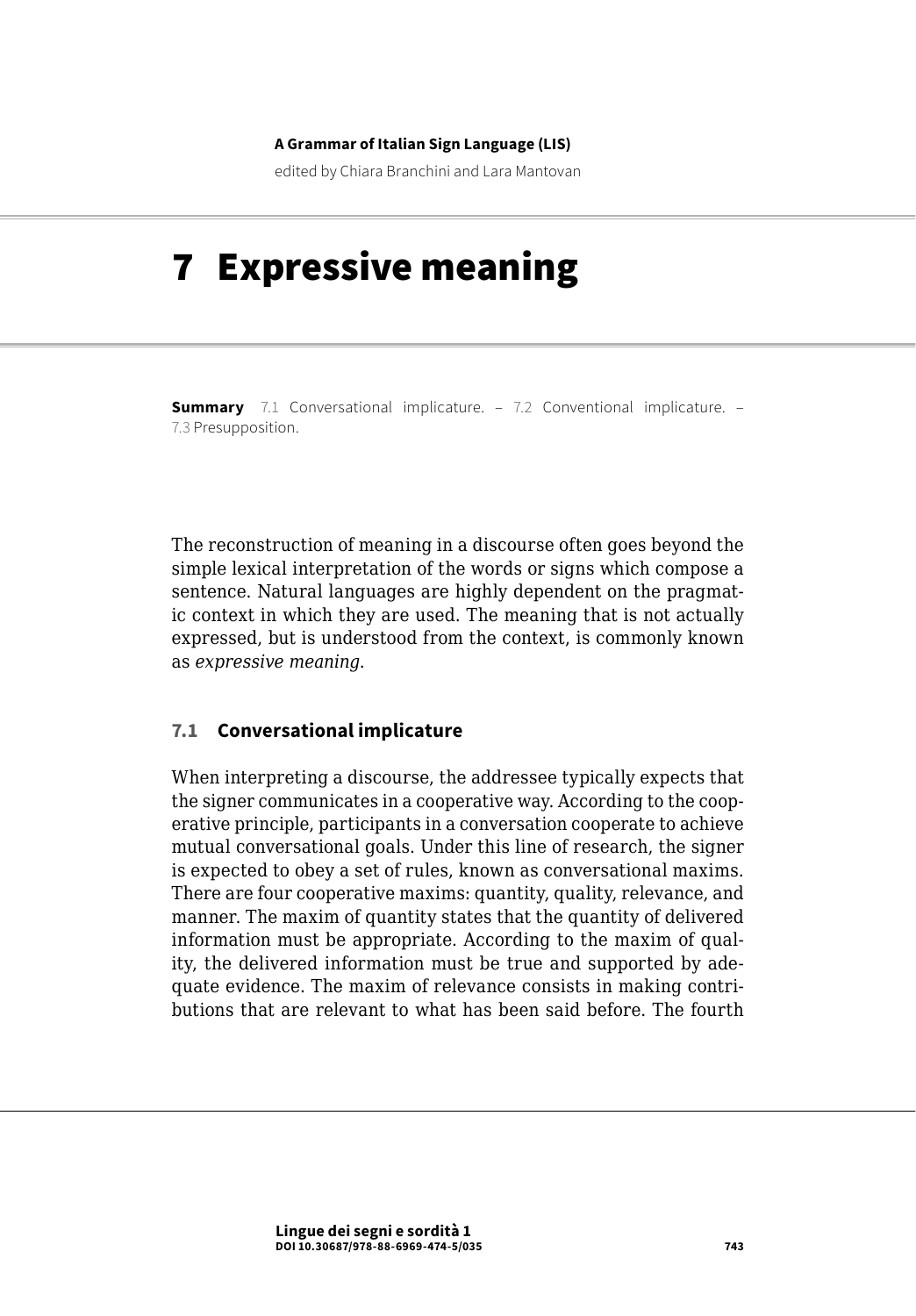#### **A Grammar of Italian Sign Language (LIS)**

edited by Chiara Branchini and Lara Mantovan

# 7 Expressive meaning

**Summary** 7.1 Conversational implicature. – 7.2 Conventional implicature. – 7.3 [Presupposition](#page-2-0).

The reconstruction of meaning in a discourse often goes beyond the simple lexical interpretation of the words or signs which compose a sentence. Natural languages are highly dependent on the pragmatic context in which they are used. The meaning that is not actually expressed, but is understood from the context, is commonly known as *expressive meaning*.

### **7.1 Conversational implicature**

When interpreting a discourse, the addressee typically expects that the signer communicates in a cooperative way. According to the cooperative principle, participants in a conversation cooperate to achieve mutual conversational goals. Under this line of research, the signer is expected to obey a set of rules, known as conversational maxims. There are four cooperative maxims: quantity, quality, relevance, and manner. The maxim of quantity states that the quantity of delivered information must be appropriate. According to the maxim of quality, the delivered information must be true and supported by adequate evidence. The maxim of relevance consists in making contributions that are relevant to what has been said before. The fourth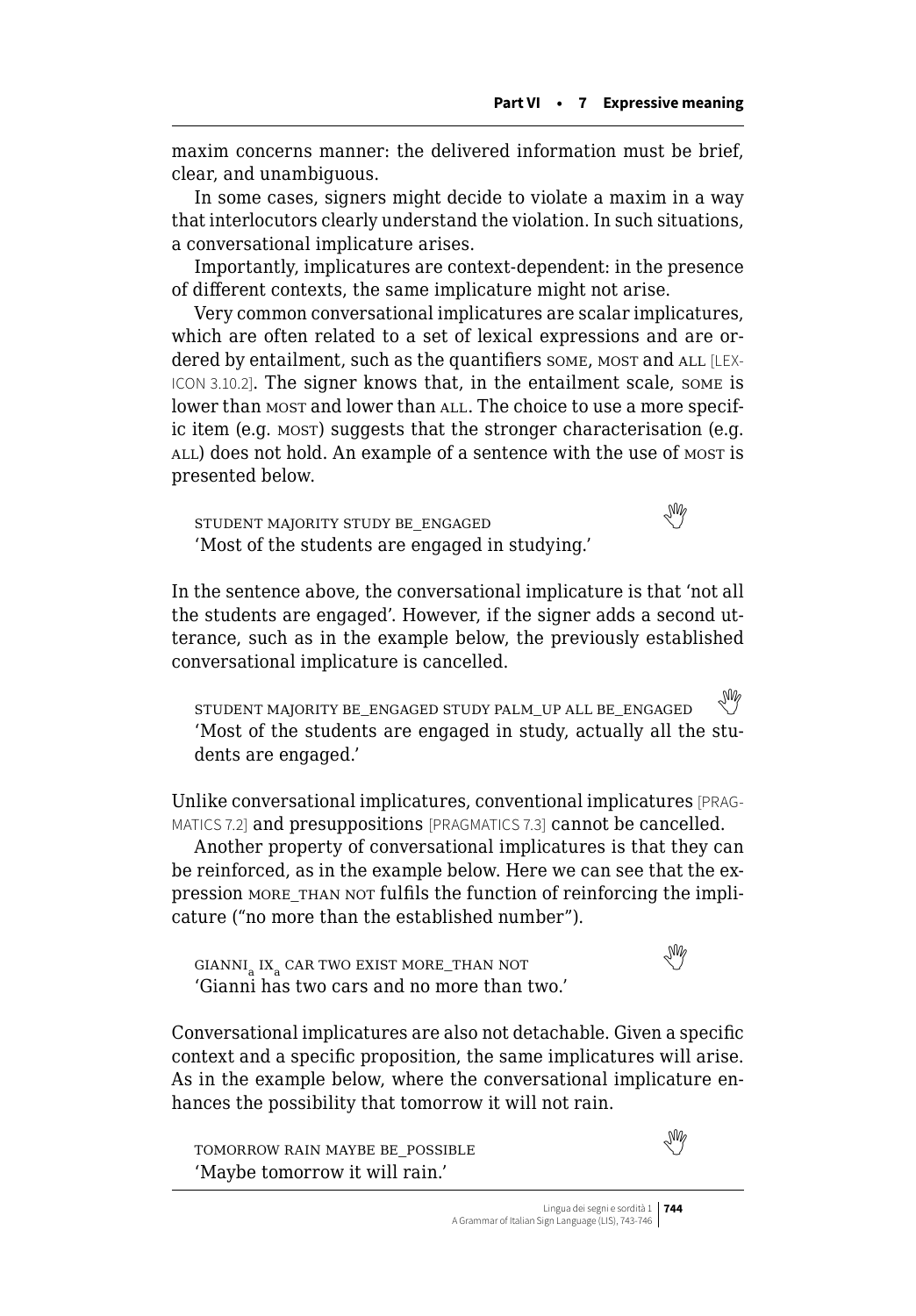maxim concerns manner: the delivered information must be brief, clear, and unambiguous.

In some cases, signers might decide to violate a maxim in a way that interlocutors clearly understand the violation. In such situations, a conversational implicature arises.

Importantly, implicatures are context-dependent: in the presence of different contexts, the same implicature might not arise.

Very common conversational implicatures are scalar implicatures, which are often related to a set of lexical expressions and are ordered by entailment, such as the quantifiers some, most and ALL [LEX-ICON 3.10.2]. The signer knows that, in the entailment scale, some is lower than most and lower than ALL. The choice to use a more specific item (e.g. MOST) suggests that the stronger characterisation (e.g. ALL) does not hold. An example of a sentence with the use of most is presented below.

studentmajority study be\_engaged majority study be\_engaged 'Most of the students are engaged in studying.'

In the sentence above, the conversational implicature is that 'not all the students are engaged'. However, if the signer adds a second utterance, such as in the example below, the previously established conversational implicature is cancelled.

student majority be\_engaged study palm\_up all be\_engaged 'Most of the students are engaged in study, actually all the students are engaged.'

Unlike conversational implicatures, conventional implicatures [PRAG-MATICS 7.2] and presuppositions [PRAGMATICS 7.3] cannot be cancelled.

Another property of conversational implicatures is that they can be reinforced, as in the example below. Here we can see that the expression MORE THAN NOT fulfils the function of reinforcing the implicature ("no more than the established number").

 $\begin{picture}(180,10) \put(0,0){\line(1,0){10}} \put(10,0){\line(1,0){10}} \put(10,0){\line(1,0){10}} \put(10,0){\line(1,0){10}} \put(10,0){\line(1,0){10}} \put(10,0){\line(1,0){10}} \put(10,0){\line(1,0){10}} \put(10,0){\line(1,0){10}} \put(10,0){\line(1,0){10}} \put(10,0){\line(1,0){10}} \put(10,0){\line(1,0){10}} \put(10,0){\line($  $\begin{picture}(180,10) \put(0,0){\line(1,0){10}} \put(10,0){\line(1,0){10}} \put(10,0){\line(1,0){10}} \put(10,0){\line(1,0){10}} \put(10,0){\line(1,0){10}} \put(10,0){\line(1,0){10}} \put(10,0){\line(1,0){10}} \put(10,0){\line(1,0){10}} \put(10,0){\line(1,0){10}} \put(10,0){\line(1,0){10}} \put(10,0){\line(1,0){10}} \put(10,0){\line($  $\begin{picture}(180,10) \put(0,0){\line(1,0){10}} \put(10,0){\line(1,0){10}} \put(10,0){\line(1,0){10}} \put(10,0){\line(1,0){10}} \put(10,0){\line(1,0){10}} \put(10,0){\line(1,0){10}} \put(10,0){\line(1,0){10}} \put(10,0){\line(1,0){10}} \put(10,0){\line(1,0){10}} \put(10,0){\line(1,0){10}} \put(10,0){\line(1,0){10}} \put(10,0){\line($ 'Gianni has two cars and no more than two.'

Conversational implicatures are also not detachable. Given a specific context and a specific proposition, the same implicatures will arise. As in the example below, where the conversational implicature enhances the possibility that tomorrow it will not rain.

 $\begin{picture}(180,170)(0,0) \put(0,0){\vector(1,0){10}} \put(1,0){\vector(1,0){10}} \put(1,0){\vector(1,0){10}} \put(1,0){\vector(1,0){10}} \put(1,0){\vector(1,0){10}} \put(1,0){\vector(1,0){10}} \put(1,0){\vector(1,0){10}} \put(1,0){\vector(1,0){10}} \put(1,0){\vector(1,0){10}} \put(1,0){\vector(1,0){10}} \put(1,0){\vector(1,0){10}} \put(1,0){\vector(1,0){10$  $\begin{picture}(180,170)(0,0) \put(0,0){\vector(1,0){10}} \put(1,0){\vector(1,0){10}} \put(1,0){\vector(1,0){10}} \put(1,0){\vector(1,0){10}} \put(1,0){\vector(1,0){10}} \put(1,0){\vector(1,0){10}} \put(1,0){\vector(1,0){10}} \put(1,0){\vector(1,0){10}} \put(1,0){\vector(1,0){10}} \put(1,0){\vector(1,0){10}} \put(1,0){\vector(1,0){10}} \put(1,0){\vector(1,0){10$  $\begin{picture}(180,170)(0,0) \put(0,0){\vector(1,0){10}} \put(1,0){\vector(1,0){10}} \put(1,0){\vector(1,0){10}} \put(1,0){\vector(1,0){10}} \put(1,0){\vector(1,0){10}} \put(1,0){\vector(1,0){10}} \put(1,0){\vector(1,0){10}} \put(1,0){\vector(1,0){10}} \put(1,0){\vector(1,0){10}} \put(1,0){\vector(1,0){10}} \put(1,0){\vector(1,0){10}} \put(1,0){\vector(1,0){10$ 'Maybe tomorrow it will rain.'

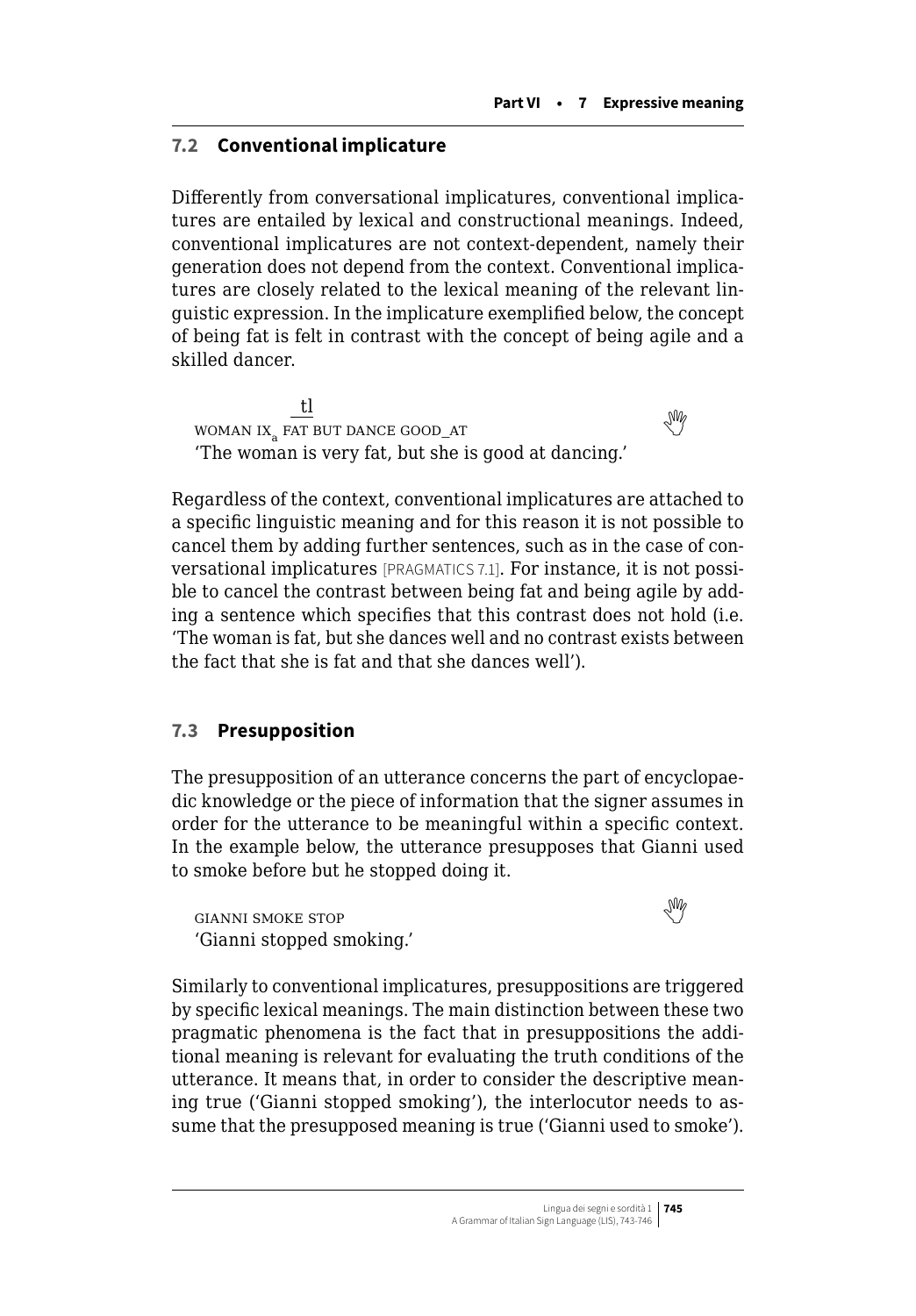# <span id="page-2-0"></span>**7.2 Conventional implicature**

Differently from conversational implicatures, conventional implicatures are entailed by lexical and constructional meanings. Indeed, conventional implicatures are not context-dependent, namely their generation does not depend from the context. Conventional implicatures are closely related to the lexical meaning of the relevant linguistic expression. In the implicature exemplified below, the concept of being fat is felt in contrast with the concept of being agile and a skilled dancer.

tl  $\frac{L}{2}$ WOMAN IX<sub>2</sub> FAT BUT DANCE GOOD\_AT 'The woman is very fat, but she is good at dancing.'

Regardless of the context, conventional implicatures are attached to a specific linguistic meaning and for this reason it is not possible to cancel them by adding further sentences, such as in the case of conversational implicatures [PRAGMATICS 7.1]. For instance, it is not possible to cancel the contrast between being fat and being agile by adding a sentence which specifies that this contrast does not hold (i.e. 'The woman is fat, but she dances well and no contrast exists between the fact that she is fat and that she dances well').

# **7.3 Presupposition**

The presupposition of an utterance concerns the part of encyclopaedic knowledge or the piece of information that the signer assumes in order for the utterance to be meaningful within a specific context. In the example below, the utterance presupposes that Gianni used to smoke before but he stopped doing it.

gianni smoke stop  'Gianni stopped smoking.'



Similarly to conventional implicatures, presuppositions are triggered by specific lexical meanings. The main distinction between these two pragmatic phenomena is the fact that in presuppositions the additional meaning is relevant for evaluating the truth conditions of the utterance. It means that, in order to consider the descriptive meaning true ('Gianni stopped smoking'), the interlocutor needs to assume that the presupposed meaning is true ('Gianni used to smoke').